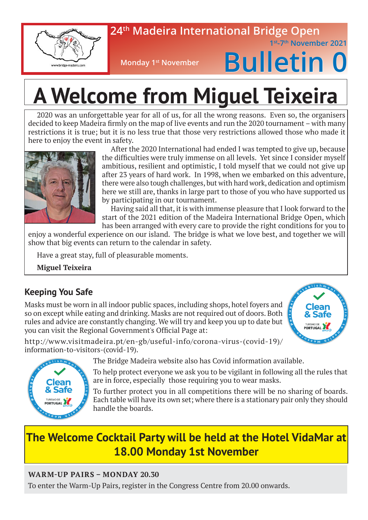

### **24th Madeira International Bridge Open**

 **1st-7th November 2021**

**Monday 1st November** 

# **Bulletin 0**

# **A Welcome from Miguel Teixeira**

2020 was an unforgettable year for all of us, for all the wrong reasons. Even so, the organisers decided to keep Madeira firmly on the map of live events and run the 2020 tournament – with many restrictions it is true; but it is no less true that those very restrictions allowed those who made it here to enjoy the event in safety.



After the 2020 International had ended I was tempted to give up, because the difficulties were truly immense on all levels. Yet since I consider myself ambitious, resilient and optimistic, I told myself that we could not give up after 23 years of hard work. In 1998, when we embarked on this adventure, there were also tough challenges, but with hard work, dedication and optimism here we still are, thanks in large part to those of you who have supported us by participating in our tournament.

Having said all that, it is with immense pleasure that I look forward to the start of the 2021 edition of the Madeira International Bridge Open, which has been arranged with every care to provide the right conditions for you to

enjoy a wonderful experience on our island. The bridge is what we love best, and together we will show that big events can return to the calendar in safety.

Have a great stay, full of pleasurable moments.

**Miguel Teixeira**

### **Keeping You Safe**

Masks must be worn in all indoor public spaces, including shops, hotel foyers and so on except while eating and drinking. Masks are not required out of doors. Both rules and advice are constantly changing. We will try and keep you up to date but you can visit the Regional Government's Official Page at:







The Bridge Madeira website also has Covid information available.

To help protect everyone we ask you to be vigilant in following all the rules that are in force, especially those requiring you to wear masks.

To further protect you in all competitions there will be no sharing of boards. Each table will have its own set; where there is a stationary pair only they should handle the boards.

### **The Welcome Cocktail Party will be held at the Hotel VidaMar at 18.00 Monday 1st November**

#### **WARM-UP PAIRS – MONDAY 20.30**

To enter the Warm-Up Pairs, register in the Congress Centre from 20.00 onwards.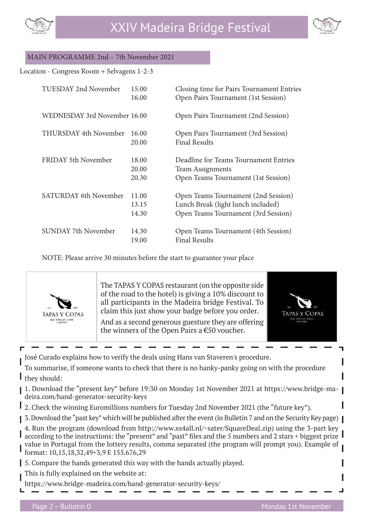



#### MAIN PROGRAMME 2nd – 7th November 2021

#### Location - Congress Room + Selvagens 1-2-3

| <b>TUESDAY 2nd November</b>  | 15.00<br>16.00          | Closing time for Pairs Tournament Entries<br>Open Pairs Tournament (1st Session)                                 |
|------------------------------|-------------------------|------------------------------------------------------------------------------------------------------------------|
| WEDNESDAY 3rd November 16.00 |                         | Open Pairs Tournament (2nd Session)                                                                              |
| THURSDAY 4th November        | 16.00<br>20.00          | Open Pairs Tournament (3rd Session)<br><b>Final Results</b>                                                      |
| FRIDAY 5th November          | 18.00<br>20.00<br>20.30 | Deadline for Teams Tournament Entries<br>Team Assignments<br>Open Teams Tournament (1st Session)                 |
| <b>SATURDAY 6th November</b> | 11.00<br>13.15<br>14.30 | Open Teams Tournament (2nd Session)<br>Lunch Break (light lunch included)<br>Open Teams Tournament (3rd Session) |
| <b>SUNDAY 7th November</b>   | 14.30<br>19.00          | Open Teams Tournament (4th Session)<br><b>Final Results</b>                                                      |

NOTE: Please arrive 30 minutes before the start to guarantee your place



The TAPAS Y COPAS restaurant (on the opposite side of the road to the hotel) is giving a 10% discount to all participants in the Madeira bridge Festival. To claim this just show your badge before you order.

And as a second generous guesture they are offering the winners of the Open Pairs a €50 voucher.



José Curado explains how to verify the deals using Hans van Staveren's procedure.

To summarise, if someone wants to check that there is no hanky-panky going on with the procedure they should:

- 1. Download the "present key" before 19:30 on Monday 1st November 2021 at https://www.bridge-madeira.com/hand-generator-security-keys
- 2. Check the winning Euromillions numbers for Tuesday 2nd November 2021 (the "future key").
- 3. Download the "past key" which will be published after the event (in Bulletin 7 and on the Security Key page)
- 4. Run the program (download from http://www.xs4all.nl/~sater/SquareDeal.zip) using the 3-part key according to the instructions: the "present" and "past" files and the 5 numbers and 2 stars + biggest prize I value in Portugal from the lottery results, comma separated (the program will prompt you). Example of format: 10,15,18,32,49+3,9 E 155.676,29
- 5. Compare the hands generated this way with the hands actually played.
- This is fully explained on the website at:
- https://www.bridge-madeira.com/hand-generator-security-keys/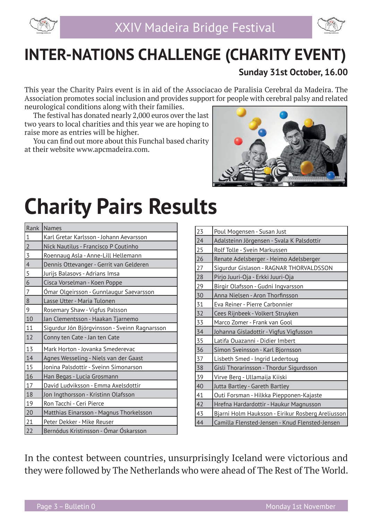

### **INTER-NATIONS CHALLENGE (CHARITY EVENT)**

### **Sunday 31st October, 16.00**

This year the Charity Pairs event is in aid of the Associacao de Paralisia Cerebral da Madeira. The Association promotes social inclusion and provides support for people with cerebral palsy and related neurological conditions along with their families.

The festival has donated nearly 2,000 euros over the last two years to local charities and this year we are hoping to raise more as entries will be higher.

You can find out more about this Funchal based charity at their website www.apcmadeira.com.



## **Charity Pairs Results**

| Rank           | <b>Names</b>                                    |
|----------------|-------------------------------------------------|
| $\vert$ 1      | Karl Gretar Karlsson - Johann Aevarsson         |
| $\overline{2}$ | Nick Nautilus - Francisco P Coutinho            |
| $\overline{3}$ | Roennaug Asla - Anne-Lill Hellemann             |
| $\vert 4$      | Dennis Ottevanger - Gerrit van Gelderen         |
| 5              | Jurijs Balasovs - Adrians Imsa                  |
| 6              | Cisca Vorselman - Koen Poppe                    |
| $\overline{7}$ | <u> Ómar Olgeirsson - Gunnlaugur Saevarsson</u> |
| $\sqrt{8}$     | Lasse Utter - Maria Tulonen                     |
| 9              | Rosemary Shaw - Vigfus Palsson                  |
| 10             | Jan Clementsson - Haakan Tjarnemo               |
| 11             | Sigurdur Jón Björgvinsson - Sveinn Ragnarsson   |
| 12             | Conny ten Cate - Jan ten Cate                   |
| 13             | Mark Horton - Jovanka Smederevac                |
| 14             | Agnes Wesseling - Niels van der Gaast           |
| 15             | Jonina Palsdottir - Sveinn Símonarson           |
| 16             | Han Begas - Lucia Grosmann                      |
| 17             | David Ludviksson - Emma Axelsdottir             |
| 18             | Jon Ingthorsson - Kristinn Olafsson             |
| 19             | Ron Tacchi - Ceri Pierce                        |
| 20             | Matthias Einarsson - Magnus Thorkelsson         |
| 21             | Peter Dekker - Mike Reuser                      |
| 22             | Bernódus Kristinsson - Ómar Óskarsson           |

| 23 | Poul Mogensen - Susan Just                        |
|----|---------------------------------------------------|
| 24 | Adalsteinn Jörgensen - Svala K Palsdottir         |
| 25 | Rolf Tolle - Svein Markussen                      |
| 26 | Renate Adelsberger - Heimo Adelsberger            |
| 27 | Sigurdur Gislason - RAGNAR THORVALDSSON           |
| 28 | Pirjo Juuri-Oja - Erkki Juuri-Oja                 |
| 29 | Birgir Olafsson - Gudni Ingvarsson                |
| 30 | Anna Nielsen - Aron Thorfinsson                   |
| 31 | Eva Reiner - Pierre Carbonnier                    |
| 32 | Cees Rijnbeek - Volkert Struyken                  |
| 33 | Marco Zomer - Frank van Gool                      |
| 34 | Johanna Gisladottir - Vigfus Vigfusson            |
| 35 | Latifa Ouazanni - Didier Imbert                   |
| 36 | Símon Sveinsson - Karl Bjornsson                  |
| 37 | Lisbeth Smed - Ingrid Ledertoug                   |
| 38 | Gisli Thorarinsson - Thordur Sigurdsson           |
| 39 | Virve Berg - Ullamaija Kiiski                     |
| 40 | Jutta Bartley - Gareth Bartley                    |
| 41 | Outi Forsman - Hilkka Piepponen-Kajaste           |
| 42 | Hrefna Hardardottir - Haukur Magnusson            |
| 43 | Bjarni Holm Hauksson - Eirikur Rosberg Areliusson |
| 44 | Camilla Flensted-Jensen - Knud Flensted-Jensen    |

In the contest between countries, unsurprisingly Iceland were victorious and they were followed by The Netherlands who were ahead of The Rest of The World.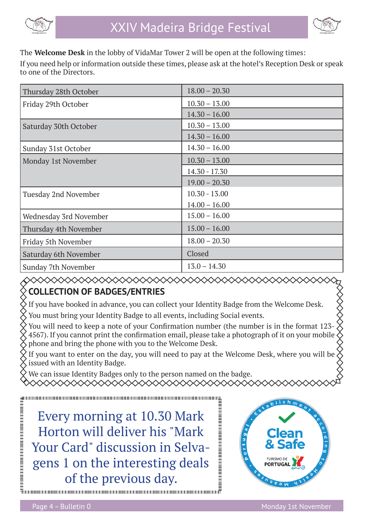



The **Welcome Desk** in the lobby of VidaMar Tower 2 will be open at the following times:

If you need help or information outside these times, please ask at the hotel's Reception Desk or speak to one of the Directors.

| Thursday 28th October  | $18.00 - 20.30$ |
|------------------------|-----------------|
| Friday 29th October    | $10.30 - 13.00$ |
|                        | $14.30 - 16.00$ |
| Saturday 30th October  | $10.30 - 13.00$ |
|                        | $14.30 - 16.00$ |
| Sunday 31st October    | $14.30 - 16.00$ |
| Monday 1st November    | $10.30 - 13.00$ |
|                        | $14.30 - 17.30$ |
|                        | $19.00 - 20.30$ |
| Tuesday 2nd November   | $10.30 - 13.00$ |
|                        | $14.00 - 16.00$ |
| Wednesday 3rd November | $15.00 - 16.00$ |
| Thursday 4th November  | $15.00 - 16.00$ |
| Friday 5th November    | $18.00 - 20.30$ |
| Saturday 6th November  | Closed          |
| Sunday 7th November    | $13.0 - 14.30$  |

#### ◇◇◇◇◇◇◇◇◇◇◇◇◇◇◇◇◇◇◇◇◇◇ **COLLECTION OF BADGES/ENTRIES**

If you have booked in advance, you can collect your Identity Badge from the Welcome Desk.

You must bring your Identity Badge to all events, including Social events.

You will need to keep a note of your Confirmation number (the number is in the format 123- $\check{\diamond}$  4567). If you cannot print the confirmation email, please take a photograph of it on your mobile  $\check{\diamond}$ 4567). If you cannot print the confirmation email, please take a photograph of it on your mobile phone and bring the phone with you to the Welcome Desk.

If you want to enter on the day, you will need to pay at the Welcome Desk, where you will be issued with an Identity Badge.

We can issue Identity Badges only to the person named on the badge. XXXXXXXXXXXXXXXXXXXXXXX

Every morning at 10.30 Mark Horton will deliver his "Mark Your Card" discussion in Selvagens 1 on the interesting deals of the previous day.

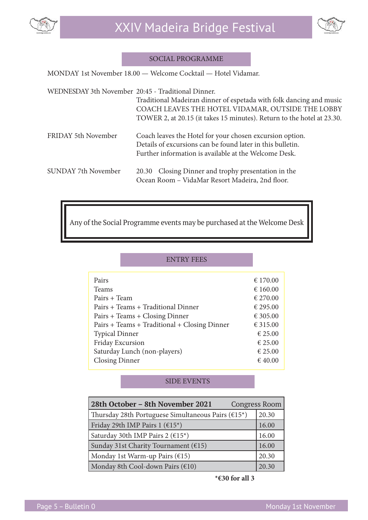



#### SOCIAL PROGRAMME

MONDAY 1st November 18.00 — Welcome Cocktail — Hotel Vidamar.

 WEDNESDAY 3th November 20:45 - Traditional Dinner. Traditional Madeiran dinner of espetada with folk dancing and music COACH LEAVES THE HOTEL VIDAMAR, OUTSIDE THE LOBBY TOWER 2, at 20.15 (it takes 15 minutes). Return to the hotel at 23.30. FRIDAY 5th November Coach leaves the Hotel for your chosen excursion option. Details of excursions can be found later in this bulletin. Further information is available at the Welcome Desk. SUNDAY 7th November 20.30 Closing Dinner and trophy presentation in the Ocean Room – VidaMar Resort Madeira, 2nd floor.

Any of the Social Programme events may be purchased at the Welcome Desk

|                                              | <b>ENTRY FEES</b>            |          |
|----------------------------------------------|------------------------------|----------|
|                                              |                              |          |
| Pairs                                        |                              | € 170.00 |
| <b>Teams</b>                                 |                              | € 160.00 |
| Pairs + Team                                 | € 270.00                     |          |
| Pairs + Teams + Traditional Dinner           |                              | € 295.00 |
| Pairs + Teams + Closing Dinner               |                              | € 305.00 |
| Pairs + Teams + Traditional + Closing Dinner |                              | € 315.00 |
| <b>Typical Dinner</b>                        |                              | € 25.00  |
| <b>Friday Excursion</b>                      |                              | € 25.00  |
|                                              | Saturday Lunch (non-players) | € 25.00  |
| <b>Closing Dinner</b>                        |                              | € 40.00  |

#### SIDE EVENTS

| 28th October - 8th November 2021                                           | <b>Congress Room</b> |
|----------------------------------------------------------------------------|----------------------|
| Thursday 28th Portuguese Simultaneous Pairs ( $\epsilon$ 15 <sup>*</sup> ) | 20.30                |
| Friday 29th IMP Pairs 1 ( $\epsilon$ 15 <sup>*</sup> )                     | 16.00                |
| Saturday 30th IMP Pairs 2 ( $\epsilon$ 15 <sup>*</sup> )                   | 16.00                |
| Sunday 31st Charity Tournament ( $E$ 15)                                   | 16.00                |
| Monday 1st Warm-up Pairs $(615)$                                           | 20.30                |
| Monday 8th Cool-down Pairs $(\epsilon 10)$                                 | 20.30                |

 **<sup>\*€30</sup> for all 3**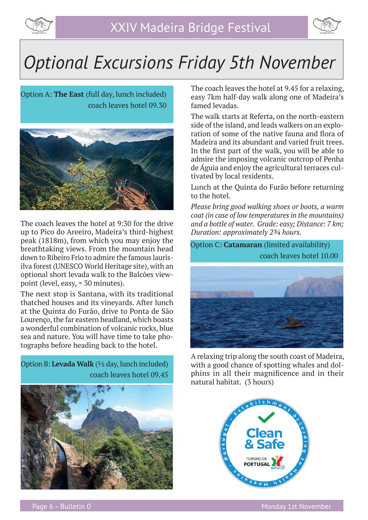



### *Optional Excursions Friday 5th November*

Option A: **The East** (full day, lunch included) coach leaves hotel 09.30



The coach leaves the hotel at 9:30 for the drive up to Pico do Areeiro, Madeira's third-highest peak (1818m), from which you may enjoy the breathtaking views. From the mountain head down to Ribeiro Frio to admire the famous laurisilva forest (UNESCO World Heritage site), with an optional short levada walk to the Balcões viewpoint (level, easy,  $\approx 30$  minutes).

The next stop is Santana, with its traditional thatched houses and its vineyards. After lunch at the Quinta do Furão, drive to Ponta de São Lourenço, the far eastern headland, which boasts a wonderful combination of volcanic rocks, blue sea and nature. You will have time to take photographs before heading back to the hotel.



The coach leaves the hotel at 9.45 for a relaxing, easy 7km half-day walk along one of Madeira's famed levadas.

The walk starts at Referta, on the north-eastern side of the island, and leads walkers on an exploration of some of the native fauna and flora of Madeira and its abundant and varied fruit trees. In the first part of the walk, you will be able to admire the imposing volcanic outcrop of Penha de Águia and enjoy the agricultural terraces cultivated by local residents.

Lunch at the Quinta do Furão before returning to the hotel.

*Please bring good walking shoes or boots, a warm coat (in case of low temperatures in the mountains) and a bottle of water. Grade: easy; Distance: 7 km; Duration: approximately 2¾ hours.*

Option C: **Catamaran** (limited availability) coach leaves hotel 10.00

![](_page_5_Picture_14.jpeg)

A relaxing trip along the south coast of Madeira, with a good chance of spotting whales and dolphins in all their magnificence and in their natural habitat. (3 hours)

![](_page_5_Picture_16.jpeg)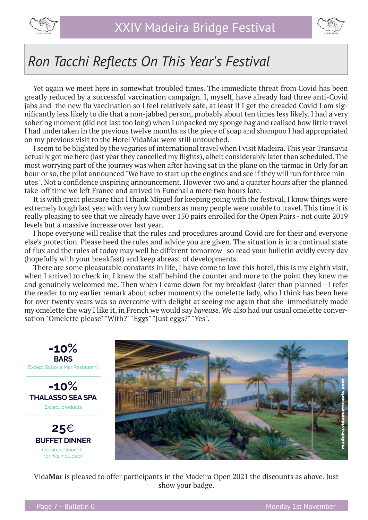![](_page_6_Picture_0.jpeg)

![](_page_6_Picture_2.jpeg)

### *Ron Tacchi Refl ects On This Year's Festival*

Yet again we meet here in somewhat troubled times. The immediate threat from Covid has been greatly reduced by a successful vaccination campaign. I, myself, have already had three anti-Covid jabs and the new flu vaccination so I feel relatively safe, at least if I get the dreaded Covid I am signifi cantly less likely to die that a non-jabbed person, probably about ten times less likely. I had a very sobering moment (did not last too long) when I unpacked my sponge bag and realised how little travel I had undertaken in the previous twelve months as the piece of soap and shampoo I had appropriated on my previous visit to the Hotel VidaMar were still untouched.

I seem to be blighted by the vagaries of international travel when I visit Madeira. This year Transavia actually got me here (last year they cancelled my flights), albeit considerably later than scheduled. The most worrying part of the journey was when after having sat in the plane on the tarmac in Orly for an hour or so, the pilot announced "We have to start up the engines and see if they will run for three minutes". Not a confidence inspiring announcement. However two and a quarter hours after the planned take-off time we left France and arrived in Funchal a mere two hours late.

It is with great pleasure that I thank Miguel for keeping going with the festival, I know things were extremely tough last year with very low numbers as many people were unable to travel. This time it is really pleasing to see that we already have over 150 pairs enrolled for the Open Pairs - not quite 2019 levels but a massive increase over last year.

I hope everyone will realise that the rules and procedures around Covid are for their and everyone else's protection. Please heed the rules and advice you are given. The situation is in a continual state of flux and the rules of today may well be different tomorrow -so read your bulletin avidly every day (hopefully with your breakfast) and keep abreast of developments.

There are some pleasurable constants in life, I have come to love this hotel, this is my eighth visit, when I arrived to check in, I knew the staff behind the counter and more to the point they knew me and genuinely welcomed me. Then when I came down for my breakfast (later than planned - I refer the reader to my earlier remark about sober moments) the omelette lady, who I think has been here for over twenty years was so overcome with delight at seeing me again that she immediately made my omelette the way I like it, in French we would say *baveuse.* We also had our usual omelette conversation "Omelette please" "With?" "Eggs" "Just eggs?" "Yes".

![](_page_6_Picture_9.jpeg)

Vida**Mar** is pleased to offer participants in the Madeira Open 2021 the discounts as above. Just show your badge.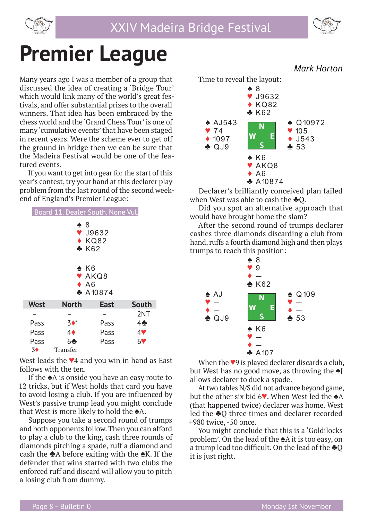![](_page_7_Picture_0.jpeg)

![](_page_7_Figure_2.jpeg)

## **Premier League**

Many years ago I was a member of a group that discussed the idea of creating a 'Bridge Tour' which would link many of the world's great festivals, and offer substantial prizes to the overall winners. That idea has been embraced by the chess world and the 'Grand Chess Tour' is one of many 'cumulative events' that have been staged in recent years. Were the scheme ever to get off the ground in bridge then we can be sure that the Madeira Festival would be one of the featured events.

If you want to get into gear for the start of this year's contest, try your hand at this declarer play problem from the last round of the second weekend of England's Premier League:

| Board 11. Dealer South. None Vul.                                                                                                                       |              |             |                |  |
|---------------------------------------------------------------------------------------------------------------------------------------------------------|--------------|-------------|----------------|--|
| $\clubsuit$ 8<br>$\blacktriangledown$ J9632<br>$\triangle$ KQ82<br>$\clubsuit$ K62<br>$\clubsuit$ K6<br>V AKQ8<br>$\triangle$ A6<br>$\clubsuit$ A 10874 |              |             |                |  |
|                                                                                                                                                         |              |             |                |  |
| <b>West</b>                                                                                                                                             | <b>North</b> | <b>East</b> | <b>South</b>   |  |
|                                                                                                                                                         |              |             | 2NT            |  |
| Pass                                                                                                                                                    | $3^*$        | Pass        | $4\clubsuit$   |  |
| Pass                                                                                                                                                    | 4♦           | Pass        | 4              |  |
| Pass                                                                                                                                                    | 64           | Pass        | 6 <sup>o</sup> |  |
| $3\blacklozenge$                                                                                                                                        | Transfer     |             |                |  |

West leads the ♥4 and you win in hand as East follows with the ten.

If the ♠A is onside you have an easy route to 12 tricks, but if West holds that card you have to avoid losing a club. If you are influenced by West's passive trump lead you might conclude that West is more likely to hold the ♠A.

Suppose you take a second round of trumps and both opponents follow. Then you can afford to play a club to the king, cash three rounds of diamonds pitching a spade, ruff a diamond and cash the  $\triangle A$  before exiting with the  $\triangle K$ . If the defender that wins started with two clubs the enforced ruff and discard will allow you to pitch a losing club from dummy.

![](_page_7_Figure_10.jpeg)

Declarer's brilliantly conceived plan failed when West was able to cash the **♣**Q.

Did you spot an alternative approach that would have brought home the slam?

After the second round of trumps declarer cashes three diamonds discarding a club from hand, ruffs a fourth diamond high and then plays trumps to reach this position:

![](_page_7_Figure_14.jpeg)

When the ♥9 is played declarer discards a club, but West has no good move, as throwing the  $\triangle$ I allows declarer to duck a spade.

At two tables N/S did not advance beyond game, but the other six bid 6♥. When West led the ♠A (that happened twice) declarer was home. West led the ♣Q three times and declarer recorded +980 twice, -50 once.

You might conclude that this is a 'Goldilocks problem'. On the lead of the ♠A it is too easy, on a trump lead too difficult. On the lead of the  $\clubsuit$ O it is just right.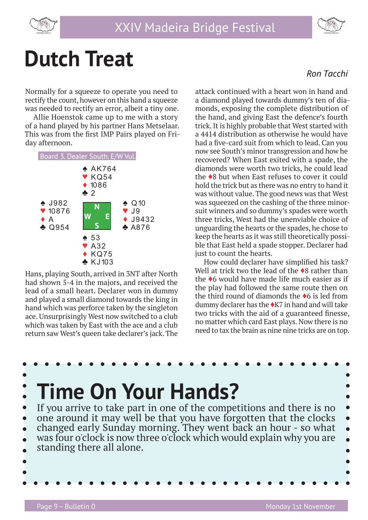![](_page_8_Picture_0.jpeg)

![](_page_8_Picture_2.jpeg)

## **Dutch Treat**

Normally for a squeeze to operate you need to rectify the count, however on this hand a squeeze was needed to rectify an error, albeit a tiny one.

Allie Hoenstok came up to me with a story of a hand played by his partner Hans Metselaar. This was from the first IMP Pairs played on Friday afternoon.

![](_page_8_Figure_6.jpeg)

Hans, playing South, arrived in 3NT after North had shown 5-4 in the majors, and received the lead of a small heart. Declarer won in dummy and played a small diamond towards the king in hand which was perforce taken by the singleton ace. Unsurprisingly West now switched to a club which was taken by East with the ace and a club return saw West's queen take declarer's jack. The

 *Ron Tacchi*

attack continued with a heart won in hand and a diamond played towards dummy's ten of diamonds, exposing the complete distribution of the hand, and giving East the defence's fourth trick. It is highly probable that West started with a 4414 distribution as otherwise he would have had a five-card suit from which to lead. Can you now see South's minor transgression and how he recovered? When East exited with a spade, the diamonds were worth two tricks, he could lead the ♦8 but when East refuses to cover it could hold the trick but as there was no entry to hand it was without value. The good news was that West was squeezed on the cashing of the three minorsuit winners and so dummy's spades were worth three tricks, West had the unenviable choice of unguarding the hearts or the spades, he chose to keep the hearts as it was still theoretically possible that East held a spade stopper. Declarer had just to count the hearts.

How could declarer have simplified his task? Well at trick two the lead of the ♦8 rather than the ♦6 would have made life much easier as if the play had followed the same route then on the third round of diamonds the ♦6 is led from dummy declarer has the  $\triangle$ K7 in hand and will take two tricks with the aid of a guaranteed finesse, no matter which card East plays. Now there is no need to tax the brain as nine nine tricks are on top.

![](_page_8_Figure_11.jpeg)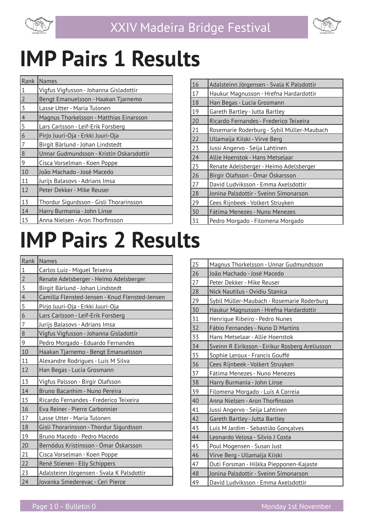![](_page_9_Picture_0.jpeg)

![](_page_9_Picture_2.jpeg)

## **IMP Pairs 1 Results**

| Rank           | <b>Names</b>                             |
|----------------|------------------------------------------|
| $\mathbf 1$    | Vigfus Vigfusson - Johanna Gisladottir   |
| $\overline{2}$ | Bengt Emanuelsson - Haakan Tjarnemo      |
| 3              | Lasse Utter - Maria Tulonen              |
| $\overline{4}$ | Magnus Thorkelsson - Matthias Einarsson  |
| 5              | Lars Carlsson - Leif-Erik Forsberg       |
| $\overline{6}$ | Pirjo Juuri-Oja - Erkki Juuri-Oja        |
| $\overline{7}$ | Birgit Bärlund - Johan Lindstedt         |
| 8              | Unnar Gudmundsson - Kristin Oskarsdottir |
| 9              | Cisca Vorselman - Koen Poppe             |
| 10             | João Machado - José Macedo               |
| 11             | Jurijs Balasovs - Adrians Imsa           |
| 12             | Peter Dekker - Mike Reuser               |
| 13             | Thordur Sigurdsson - Gisli Thorarinsson  |
| 14             | Harry Burmania - John Linse              |
| 15             | Anna Nielsen - Aron Thorfinsson          |

| 16 | Adalsteinn Jörgensen - Svala K Palsdottir  |
|----|--------------------------------------------|
| 17 | Haukur Magnusson - Hrefna Hardardottir     |
| 18 | Han Begas - Lucia Grosmann                 |
| 19 | Gareth Bartley - Jutta Bartley             |
| 20 | Ricardo Fernandes - Frederico Teixeira     |
| 21 | Rosemarie Roderburg - Sybil Müller-Maubach |
| 22 | Ullamaija Kiiski - Virve Berg              |
| 23 | Jussi Angervo - Seija Lahtinen             |
| 24 | Allie Hoenstok - Hans Metselaar            |
| 25 | Renate Adelsberger - Heimo Adelsberger     |
| 26 | Birgir Olafsson - Ómar Óskarsson           |
| 27 | David Ludviksson - Emma Axelsdottir        |
| 28 | Jonina Palsdottir - Sveinn Símonarson      |
| 29 | Cees Rijnbeek - Volkert Struyken           |
| 30 | Fátima Menezes - Nuno Menezes              |
| 31 | Pedro Morgado - Filomena Morgado           |

## **IMP Pairs 2 Results**

| Rank           | Names                                          |
|----------------|------------------------------------------------|
| $\,1\,$        | Carlos Luiz - Miguel Teixeira                  |
| $\overline{2}$ | Renate Adelsberger - Heimo Adelsberger         |
| $\overline{3}$ | Birgit Bärlund - Johan Lindstedt               |
| $\overline{4}$ | Camilla Flensted-Jensen - Knud Flensted-Jensen |
| $\overline{5}$ | Pirjo Juuri-Oja - Erkki Juuri-Oja              |
| $\overline{6}$ | Lars Carlsson - Leif-Erik Forsberg             |
| $\overline{7}$ | Jurijs Balasovs - Adrians Imsa                 |
| 8              | Vigfus Vigfusson - Johanna Gisladottir         |
| 9              | Pedro Morgado - Eduardo Fernandes              |
| 10             | Haakan Tjarnemo - Bengt Emanuelsson            |
| 11             | Alexandre Rodrigues - Luís M Silva             |
| 12             | Han Begas - Lucia Grosmann                     |
| 13             | Vigfus Palsson - Birgir Olafsson               |
| 14             | Bruno Bacanhim - Nuno Pereira                  |
| 15             | Ricardo Fernandes - Frederico Teixeira         |
| 16             | Eva Reiner - Pierre Carbonnier                 |
| 17             | Lasse Utter - Maria Tulonen                    |
| 18             | Gisli Thorarinsson - Thordur Sigurdsson        |
| 19             | Bruno Macedo - Pedro Macedo                    |
| 20             | Bernódus Kristinsson - Ómar Óskarsson          |
| 21             | Cisca Vorselman - Koen Poppe                   |
| 22             | René Stienen - Elly Schippers                  |
| 23             | Adalsteinn Jörgensen - Svala K Palsdottir      |
| 24             | Jovanka Smederevac - Ceri Pierce               |

| 25 | Magnus Thorkelsson - Unnar Gudmundsson          |
|----|-------------------------------------------------|
| 26 | João Machado - José Macedo                      |
| 27 | Peter Dekker - Mike Reuser                      |
| 28 | Nick Nautilus - Ovidiu Stanica                  |
| 29 | Sybil Müller-Maubach - Rosemarie Roderburg      |
| 30 | Haukur Magnusson - Hrefna Hardardottir          |
| 31 | Henrique Ribeiro - Pedro Nunes                  |
| 32 | Fábio Fernandes - Nuno D Martins                |
| 33 | Hans Metselaar - Allie Hoenstok                 |
| 34 | Sveinn R Eiriksson - Eirikur Rosberg Areliusson |
| 35 | Sophie Leroux - Francis Gouffé                  |
| 36 | Cees Rijnbeek - Volkert Struyken                |
| 37 | Fátima Menezes - Nuno Menezes                   |
| 38 | Harry Burmania - John Linse                     |
| 39 | Filomena Morgado - Luís A Correia               |
| 40 | Anna Nielsen - Aron Thorfinsson                 |
| 41 | Jussi Angervo - Seija Lahtinen                  |
| 42 | Gareth Bartley - Jutta Bartley                  |
| 43 | Luis M Jardim - Sebastião Gonçalves             |
| 44 | Leonardo Velosa - Silvio J Costa                |
| 45 | Poul Mogensen - Susan Just                      |
| 46 | Virve Berg - Ullamaija Kiiski                   |
| 47 | Outi Forsman - Hilkka Piepponen-Kajaste         |
| 48 | Jonina Palsdottir - Sveinn Símonarson           |
| 49 | David Ludviksson - Emma Axelsdottir             |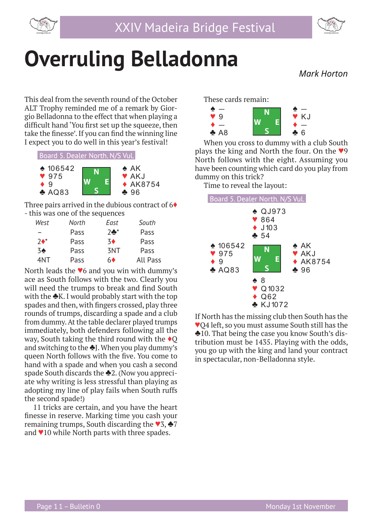![](_page_10_Picture_0.jpeg)

![](_page_10_Picture_2.jpeg)

### **Overruling Belladonna**  *Mark Horton*

This deal from the seventh round of the October ALT Trophy reminded me of a remark by Giorgio Belladonna to the effect that when playing a difficult hand 'You first set up the squeeze, then take the finesse'. If you can find the winning line I expect you to do well in this year's festival!

Board 5. Dealer North. N/S Vul.

![](_page_10_Figure_7.jpeg)

Three pairs arrived in the dubious contract of  $6\blacklozenge$ - this was one of the sequences

| West         | North | East           | South           |
|--------------|-------|----------------|-----------------|
|              | Pass  | $7 -$          | Pass            |
| $7\bullet^*$ | Pass  | 3 <sub>•</sub> | Pass            |
| 3♠           | Pass  | 3NT            | Pass            |
| 4NT          | Pass  | 60             | <b>All Pass</b> |

North leads the ♥6 and you win with dummy's ace as South follows with the two. Clearly you will need the trumps to break and find South with the **♣K**. I would probably start with the top spades and then, with fingers crossed, play three rounds of trumps, discarding a spade and a club from dummy. At the table declarer played trumps immediately, both defenders following all the way, South taking the third round with the ♦Q and switching to the  $\triangle$ J. When you play dummy's queen North follows with the five. You come to hand with a spade and when you cash a second spade South discards the **♣**2. (Now you appreciate why writing is less stressful than playing as adopting my line of play fails when South ruffs the second spade!)

11 tricks are certain, and you have the heart finesse in reserve. Marking time you cash your remaining trumps, South discarding the ♥3, ♣7 and ♥10 while North parts with three spades.

These cards remain:

![](_page_10_Figure_13.jpeg)

When you cross to dummy with a club South plays the king and North the four. On the ♥9 North follows with the eight. Assuming you have been counting which card do you play from dummy on this trick?

Time to reveal the layout:

![](_page_10_Figure_16.jpeg)

If North has the missing club then South has the ♥Q4 left, so you must assume South still has the ♣10. That being the case you know South's distribution must be 1435. Playing with the odds, you go up with the king and land your contract in spectacular, non-Belladonna style.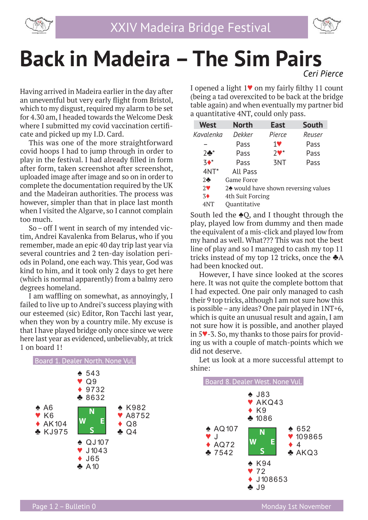![](_page_11_Picture_0.jpeg)

![](_page_11_Picture_2.jpeg)

### **Back in Madeira – The Sim Pairs**  *Ceri Pierce*

Having arrived in Madeira earlier in the day after an uneventful but very early flight from Bristol, which to my disgust, required my alarm to be set for 4.30 am, I headed towards the Welcome Desk where I submitted my covid vaccination certificate and picked up my I.D. Card.

This was one of the more straightforward covid hoops I had to jump through in order to play in the festival. I had already filled in form after form, taken screenshot after screenshot, uploaded image after image and so on in order to complete the documentation required by the UK and the Madeiran authorities. The process was however, simpler than that in place last month when I visited the Algarve, so I cannot complain too much.

So – off I went in search of my intended victim, Andrei Kavalenka from Belarus, who if you remember, made an epic 40 day trip last year via several countries and 2 ten-day isolation periods in Poland, one each way. This year, God was kind to him, and it took only 2 days to get here (which is normal apparently) from a balmy zero degrees homeland.

I am waffling on somewhat, as annoyingly, I failed to live up to Andrei's success playing with our esteemed (sic) Editor, Ron Tacchi last year, when they won by a country mile. My excuse is that I have played bridge only once since we were here last year as evidenced, unbelievably, at trick 1 on board 1!

![](_page_11_Figure_8.jpeg)

I opened a light  $1\blacktriangledown$  on my fairly filthy 11 count (being a tad overexcited to be back at the bridge table again) and when eventually my partner bid a quantitative 4NT, could only pass.

| <b>West</b>      | <b>North</b>                         | <b>East</b>                | <b>South</b> |  |
|------------------|--------------------------------------|----------------------------|--------------|--|
| Kavalenka        | Dekker                               | Pierce                     | Reuser       |  |
|                  | Pass                                 | <b>1V</b>                  | Pass         |  |
| $2 +$            | Pass                                 | $2$ $\blacktriangledown$ * | Pass         |  |
| $3*$             | Pass                                 | 3NT                        | Pass         |  |
| $4NT*$           | All Pass                             |                            |              |  |
| $2 -$            | Game Force                           |                            |              |  |
| $2^{\vee}$       | 2◆ would have shown reversing values |                            |              |  |
| $3\blacklozenge$ | 4th Suit Forcing                     |                            |              |  |
| 4NT              | Ouantitative                         |                            |              |  |

South led the ♠Q, and I thought through the play, played low from dummy and then made the equivalent of a mis-click and played low from my hand as well. What??? This was not the best line of play and so I managed to cash my top 11 tricks instead of my top 12 tricks, once the ♣A had been knocked out.

However, I have since looked at the scores here. It was not quite the complete bottom that I had expected. One pair only managed to cash their 9 top tricks, although I am not sure how this is possible – any ideas? One pair played in 1NT+6, which is quite an unusual result and again, I am not sure how it is possible, and another played in 5♥-3. So, my thanks to those pairs for providing us with a couple of match-points which we did not deserve.

Let us look at a more successful attempt to shine:

![](_page_11_Figure_14.jpeg)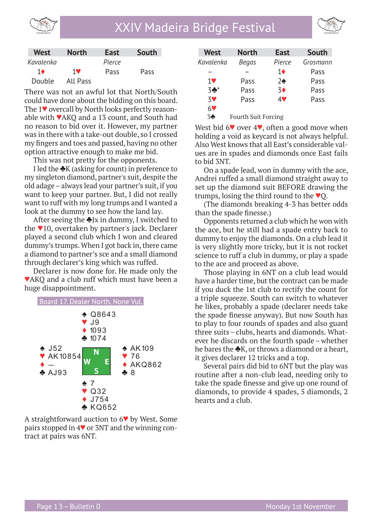![](_page_12_Picture_0.jpeg)

![](_page_12_Picture_2.jpeg)

| <b>West</b> | <b>North</b> | <b>East</b> | South |
|-------------|--------------|-------------|-------|
| Kavalenka   |              | Pierce      |       |
| 16          | <b>1V</b>    | Pass        | Pass  |
| Double      | All Pass     |             |       |

There was not an awful lot that North/South could have done about the bidding on this board. The 1♥ overcall by North looks perfectly reasonable with ♥AKQ and a 13 count, and South had no reason to bid over it. However, my partner was in there with a take-out double, so I crossed my fingers and toes and passed, having no other option attractive enough to make me bid.

This was not pretty for the opponents.

I led the  $\triangle K$  (asking for count) in preference to my singleton diamond, partner's suit, despite the old adage – always lead your partner's suit, if you want to keep your partner. But, I did not really want to ruff with my long trumps and I wanted a look at the dummy to see how the land lay.

After seeing the  $\triangle$ Jx in dummy, I switched to the ♥10, overtaken by partner's jack. Declarer played a second club which I won and cleared dummy's trumps. When I got back in, there came a diamond to partner's sce and a small diamond through declarer's king which was ruffed.

Declarer is now done for. He made only the ♥AKQ and a club ruff which must have been a huge disappointment.

![](_page_12_Figure_9.jpeg)

A straightforward auction to 6♥ by West. Some pairs stopped in 4♥ or 3NT and the winning contract at pairs was 6NT.

| <b>West</b>    | <b>North</b>               | <b>East</b>    | <b>South</b> |
|----------------|----------------------------|----------------|--------------|
| Kavalenka      | Begas                      | Pierce         | Grosmann     |
|                |                            | 1♦             | Pass         |
| $1$ V          | Pass                       | $2\spadesuit$  | Pass         |
| $3*$           | Pass                       | 3 <sup>4</sup> | Pass         |
| <b>3V</b>      | Pass                       | 4V             | Pass         |
| 6 <sup>o</sup> |                            |                |              |
| 3 <sub>2</sub> | <b>Fourth Suit Forcing</b> |                |              |

West bid  $6\blacktriangledown$  over  $4\blacktriangledown$ , often a good move when holding a void as keycard is not always helpful. Also West knows that all East's considerable values are in spades and diamonds once East fails to bid 3NT.

On a spade lead, won in dummy with the ace, Andrei ruffed a small diamond straight away to set up the diamond suit BEFORE drawing the trumps, losing the third round to the ♥Q.

(The diamonds breaking 4-3 has better odds than the spade finesse.)

Opponents returned a club which he won with the ace, but he still had a spade entry back to dummy to enjoy the diamonds. On a club lead it is very slightly more tricky, but it is not rocket science to ruff a club in dummy, or play a spade to the ace and proceed as above.

Those playing in 6NT on a club lead would have a harder time, but the contract can be made if you duck the 1st club to rectify the count for a triple squeeze. South can switch to whatever he likes, probably a spade (declarer needs take the spade finesse anyway). But now South has to play to four rounds of spades and also guard three suits – clubs, hearts and diamonds. Whatever he discards on the fourth spade – whether he bares the **♣**K, or throws a diamond or a heart, it gives declarer 12 tricks and a top.

Several pairs did bid to 6NT but the play was routine after a non-club lead, needing only to take the spade finesse and give up one round of diamonds, to provide 4 spades, 5 diamonds, 2 hearts and a club.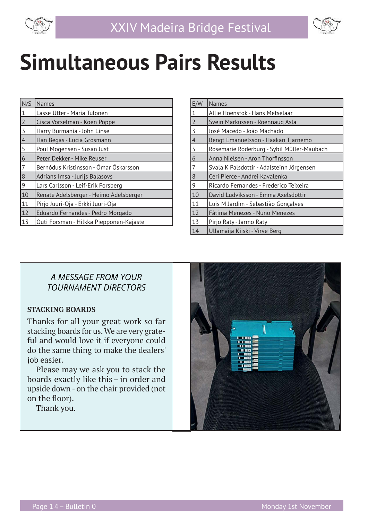![](_page_13_Picture_0.jpeg)

![](_page_13_Figure_2.jpeg)

## **Simultaneous Pairs Results**

| N/S            | <b>Names</b>                            |
|----------------|-----------------------------------------|
| 1              | Lasse Utter - Maria Tulonen             |
| $\overline{2}$ | Cisca Vorselman - Koen Poppe            |
| $\overline{3}$ | Harry Burmania - John Linse             |
| $\overline{4}$ | Han Begas - Lucia Grosmann              |
| 5              | Poul Mogensen - Susan Just              |
| 6              | Peter Dekker - Mike Reuser              |
| 7              | Bernódus Kristinsson - Ómar Óskarsson   |
| 8              | Adrians Imsa - Jurijs Balasovs          |
| 9              | Lars Carlsson - Leif-Erik Forsberg      |
| 10             | Renate Adelsberger - Heimo Adelsberger  |
| 11             | Pirjo Juuri-Oja - Erkki Juuri-Oja       |
| 12             | Eduardo Fernandes - Pedro Morgado       |
| 13             | Outi Forsman - Hilkka Piepponen-Kajaste |

| E/W            | <b>Names</b>                               |
|----------------|--------------------------------------------|
| $1\,$          | Allie Hoenstok - Hans Metselaar            |
| $\overline{2}$ | Svein Markussen - Roennaug Asla            |
| 3              | José Macedo - João Machado                 |
| $\overline{4}$ | Bengt Emanuelsson - Haakan Tjarnemo        |
| 5              | Rosemarie Roderburg - Sybil Müller-Maubach |
| $\overline{6}$ | Anna Nielsen - Aron Thorfinsson            |
| 7              | Svala K Palsdottir - Adalsteinn Jörgensen  |
| 8              | Ceri Pierce - Andrei Kavalenka             |
| 9              | Ricardo Fernandes - Frederico Teixeira     |
| 10             | David Ludviksson - Emma Axelsdottir        |
| 11             | Luis M Jardim - Sebastião Gonçalves        |
| 12             | Fátima Menezes - Nuno Menezes              |
| 13             | Pirjo Raty - Jarmo Raty                    |
| 14             | Ullamaija Kiiski - Virve Berg              |

#### *A MESSAGE FROM YOUR TOURNAMENT DIRECTORS*

#### **STACKING BOARDS**

Thanks for all your great work so far stacking boards for us. We are very grateful and would love it if everyone could do the same thing to make the dealers' job easier.

Please may we ask you to stack the boards exactly like this – in order and upside down - on the chair provided (not on the floor).

Thank you.

![](_page_13_Picture_11.jpeg)